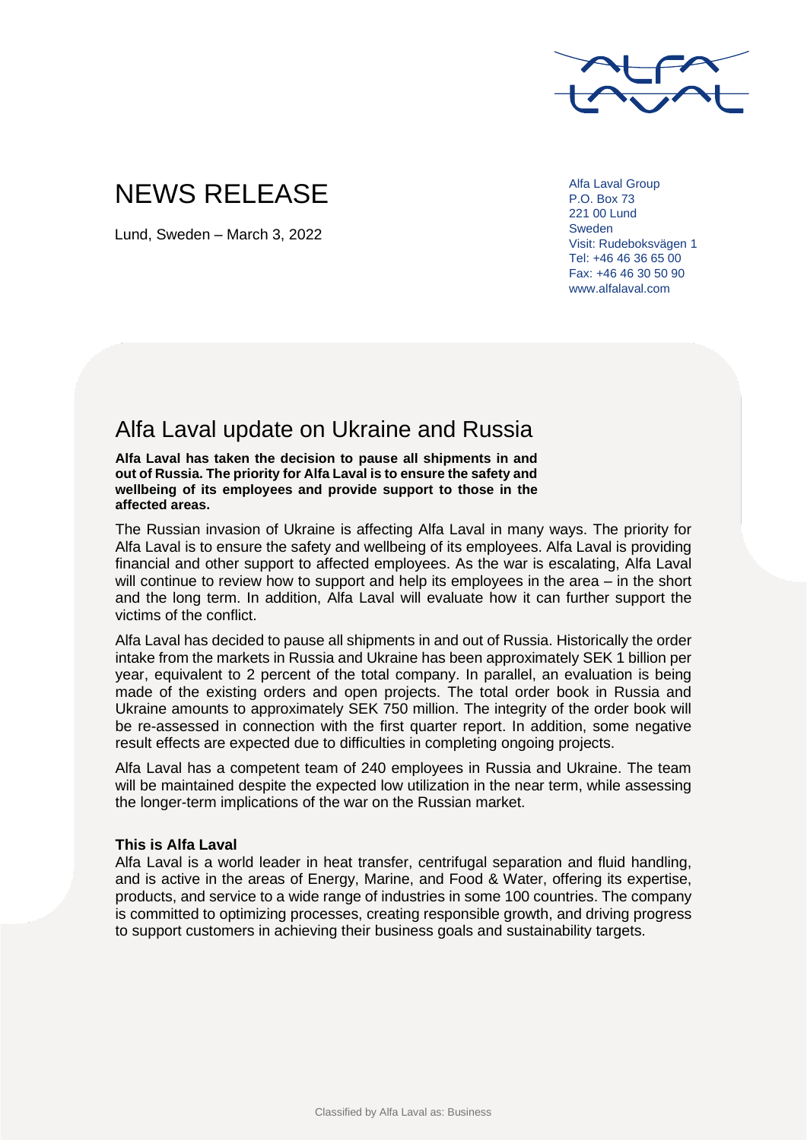

## NEWS RELEASE

Lund, Sweden – March 3, 2022

Alfa Laval Group P.O. Box 73 221 00 Lund Sweden Visit: Rudeboksvägen 1 Tel: +46 46 36 65 00 Fax: +46 46 30 50 90 www.alfalaval.com

## Alfa Laval update on Ukraine and Russia

**Alfa Laval has taken the decision to pause all shipments in and out of Russia. The priority for Alfa Laval is to ensure the safety and wellbeing of its employees and provide support to those in the affected areas.**

The Russian invasion of Ukraine is affecting Alfa Laval in many ways. The priority for Alfa Laval is to ensure the safety and wellbeing of its employees. Alfa Laval is providing financial and other support to affected employees. As the war is escalating, Alfa Laval will continue to review how to support and help its employees in the area – in the short and the long term. In addition, Alfa Laval will evaluate how it can further support the victims of the conflict.

Alfa Laval has decided to pause all shipments in and out of Russia. Historically the order intake from the markets in Russia and Ukraine has been approximately SEK 1 billion per year, equivalent to 2 percent of the total company. In parallel, an evaluation is being made of the existing orders and open projects. The total order book in Russia and Ukraine amounts to approximately SEK 750 million. The integrity of the order book will be re-assessed in connection with the first quarter report. In addition, some negative result effects are expected due to difficulties in completing ongoing projects.

Alfa Laval has a competent team of 240 employees in Russia and Ukraine. The team will be maintained despite the expected low utilization in the near term, while assessing the longer-term implications of the war on the Russian market.

## **This is Alfa Laval**

Alfa Laval is a world leader in heat transfer, centrifugal separation and fluid handling, and is active in the areas of Energy, Marine, and Food & Water, offering its expertise, products, and service to a wide range of industries in some 100 countries. The company is committed to optimizing processes, creating responsible growth, and driving progress to support customers in achieving their business goals and sustainability targets.